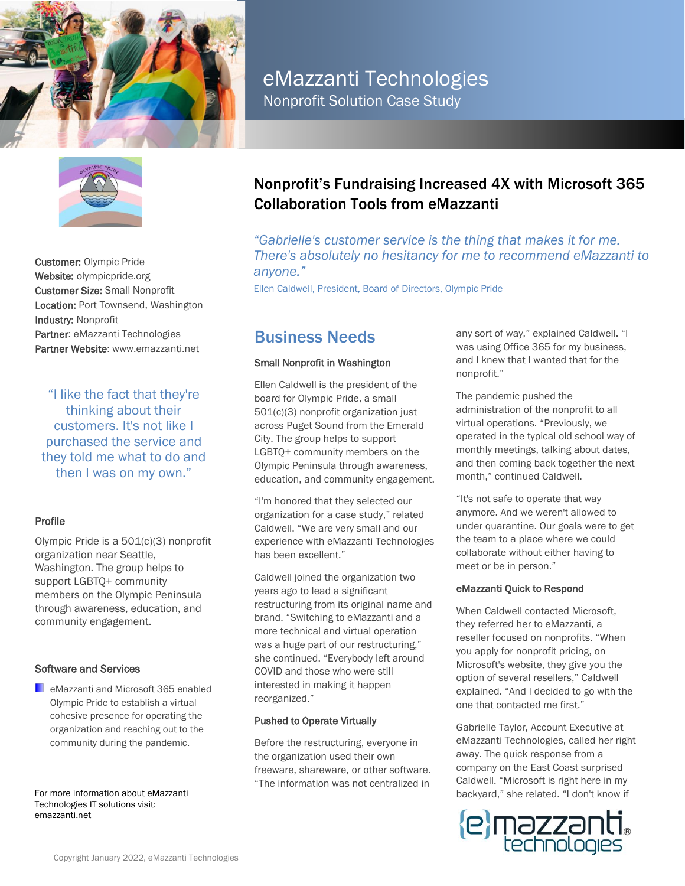



Customer: Olympic Pride Website: olympicpride.org Customer Size: Small Nonprofit Location: Port Townsend, Washington Industry: Nonprofit Partner: eMazzanti Technologies Partner Website: www.emazzanti.net

"I like the fact that they're thinking about their customers. It's not like I purchased the service and they told me what to do and then I was on my own."

### Profile

Olympic Pride is a 501(c)(3) nonprofit organization near Seattle, Washington. The group helps to support LGBTQ+ community members on the Olympic Peninsula through awareness, education, and community engagement.

### Software and Services

**E** eMazzanti and Microsoft 365 enabled Olympic Pride to establish a virtual cohesive presence for operating the organization and reaching out to the community during the pandemic.

For more information about eMazzanti Technologies IT solutions visit: emazzanti.net

# eMazzanti Technologies

Nonprofit Solution Case Study

### Nonprofit's Fundraising Increased 4X with Microsoft 365 Collaboration Tools from eMazzanti

*"Gabrielle's customer service is the thing that makes it for me. There's absolutely no hesitancy for me to recommend eMazzanti to anyone."*

Ellen Caldwell, President, Board of Directors, Olympic Pride

## Business Needs

### Small Nonprofit in Washington

Ellen Caldwell is the president of the board for Olympic Pride, a small 501(c)(3) nonprofit organization just across Puget Sound from the Emerald City. The group helps to support LGBTQ+ community members on the Olympic Peninsula through awareness, education, and community engagement.

"I'm honored that they selected our organization for a case study," related Caldwell. "We are very small and our experience with eMazzanti Technologies has been excellent."

Caldwell joined the organization two years ago to lead a significant restructuring from its original name and brand. "Switching to eMazzanti and a more technical and virtual operation was a huge part of our restructuring," she continued. "Everybody left around COVID and those who were still interested in making it happen reorganized."

### Pushed to Operate Virtually

Before the restructuring, everyone in the organization used their own freeware, shareware, or other software. "The information was not centralized in

any sort of way," explained Caldwell. "I was using Office 365 for my business, and I knew that I wanted that for the nonprofit."

The pandemic pushed the administration of the nonprofit to all virtual operations. "Previously, we operated in the typical old school way of monthly meetings, talking about dates, and then coming back together the next month," continued Caldwell.

"It's not safe to operate that way anymore. And we weren't allowed to under quarantine. Our goals were to get the team to a place where we could collaborate without either having to meet or be in person."

### eMazzanti Quick to Respond

When Caldwell contacted Microsoft, they referred her to eMazzanti, a reseller focused on nonprofits. "When you apply for nonprofit pricing, on Microsoft's website, they give you the option of several resellers," Caldwell explained. "And I decided to go with the one that contacted me first."

Gabrielle Taylor, Account Executive at eMazzanti Technologies, called her right away. The quick response from a company on the East Coast surprised Caldwell. "Microsoft is right here in my backyard," she related. "I don't know if